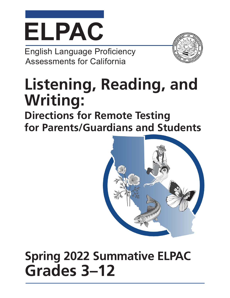# **ELPAC**

English Language Proficiency Assessments for California

# **Listening, Reading, and Writing:**

**Directions for Remote Testing for Parents/Guardians and Students**



## **Spring 2022 Summative ELPAC Grades 3–12**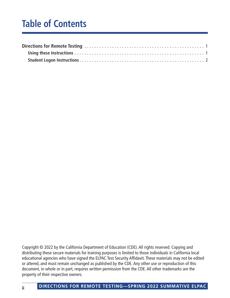### **Table of Contents**

Copyright © 2022 by the California Department of Education (CDE). All rights reserved. Copying and distributing these secure materials for training purposes is limited to those individuals in California local educational agencies who have signed the ELPAC Test Security Affidavit. These materials may not be edited or altered, and must remain unchanged as published by the CDE. Any other use or reproduction of this document, in whole or in part, requires written permission from the CDE. All other trademarks are the property of their respective owners.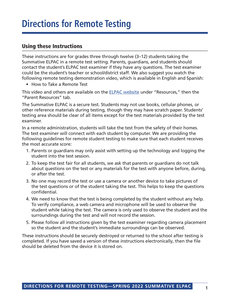#### <span id="page-2-0"></span>Using these Instructions

These instructions are for grades three through twelve (3–12) students taking the Summative ELPAC in a remote test setting. Parents, guardians, and students should contact the student's ELPAC test examiner if they have any questions. The test examiner could be the student's teacher or school/district staff. We also suggest you watch the following remote testing demonstration video, which is available in English and Spanish:

• How to Take a Remote Test

This video and others are available on the [ELPAC website](https://www.elpac.org/) under "Resources," then the "Parent Resources" tab.

The Summative ELPAC is a secure test. Students may not use books, cellular phones, or other reference materials during testing, though they may have scratch paper. Students' testing area should be clear of all items except for the test materials provided by the test examiner.

In a remote administration, students will take the test from the safety of their homes. The test examiner will connect with each student by computer. We are providing the following guidelines for remote student testing to make sure that each student receives the most accurate score:

- 1. Parents or guardians may only assist with setting up the technology and logging the student into the test session.
- 2. To keep the test fair for all students, we ask that parents or guardians do not talk about questions on the test or any materials for the test with anyone before, during, or after the test.
- 3. No one may record the test or use a camera or another device to take pictures of the test questions or of the student taking the test. This helps to keep the questions confidential.
- 4. We need to know that the test is being completed by the student without any help. To verify compliance, a web camera and microphone will be used to observe the student while taking the test. The camera is only used to observe the student and the surroundings during the test and will not record the session.
- 5. Please follow all instructions given by the test examiner regarding camera placement so the student and the student's immediate surroundings can be observed.

These instructions should be securely destroyed or returned to the school after testing is completed. If you have saved a version of these instructions electronically, then the file should be deleted from the device it is stored on.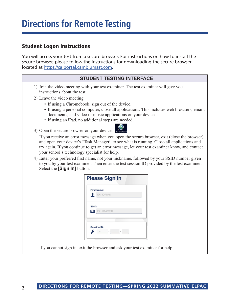#### <span id="page-3-0"></span>Student Logon Instructions

You will access your test from a secure browser. For instructions on how to install the secure browser, please follow the instructions for downloading the secure browser located at <https://ca.portal.cambiumast.com>.

#### **STUDENT TESTING INTERFACE**

- 1) Join the video meeting with your test examiner. The test examiner will give you instructions about the test.
- 2) Leave the video meeting.
	- If using a Chromebook, sign out of the device.
	- If using a personal computer, close all applications. This includes web browsers, email, documents, and video or music applications on your device.
	- If using an iPad, no additional steps are needed.
- 3) Open the secure browser on your device.



4) Enter your preferred first name, not your nickname, followed by your SSID number given to you by your test examiner. Then enter the test session ID provided by the test examiner. Select the **[Sign In]** button.

|                         | <b>Please Sign In</b> |
|-------------------------|-----------------------|
|                         | <b>First Name:</b>    |
|                         | EX: JORDAN            |
|                         |                       |
| SSID:                   |                       |
|                         |                       |
| $\overline{\mathbf{n}}$ | EX: 123456789         |
|                         | <b>Session ID:</b>    |
|                         |                       |

If you cannot sign in, exit the browser and ask your test examiner for help.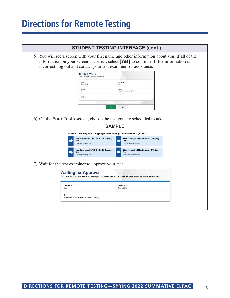|                                 |                                                                                                                                         | <b>STUDENT TESTING INTERFACE (cont.)</b>                                                                                                                                               |  |
|---------------------------------|-----------------------------------------------------------------------------------------------------------------------------------------|----------------------------------------------------------------------------------------------------------------------------------------------------------------------------------------|--|
|                                 | incorrect, log out and contact your test examiner for assistance.                                                                       | 5) You will see a screen with your first name and other information about you. If all of the<br>information on your screen is correct, select [Yes] to continue. If the information is |  |
|                                 | <b>Is This You?</b><br>Please review the following information                                                                          |                                                                                                                                                                                        |  |
|                                 | ssip:<br>9294015802                                                                                                                     | <b>First Name</b><br>DAY                                                                                                                                                               |  |
|                                 | Grade<br>01                                                                                                                             | School:<br>Richard Riordan Primary Center                                                                                                                                              |  |
|                                 | <b>State</b><br>California                                                                                                              |                                                                                                                                                                                        |  |
|                                 | Yes                                                                                                                                     | No.                                                                                                                                                                                    |  |
|                                 |                                                                                                                                         |                                                                                                                                                                                        |  |
|                                 | <b>SAMPLE</b><br><b>Summative English Language Proficiency Assessments (ELPAC)</b><br><b>Start Summative ELPAC Grades 6-8 Listening</b> | <b>Start Summative ELPAC Grades 6-8 Reading</b>                                                                                                                                        |  |
|                                 | <b>Test</b><br>This is opportunity 1 of 1                                                                                               | <b>Test</b><br>This is opportunity 1 of 1                                                                                                                                              |  |
|                                 | <b>Start Summative ELPAC Grades 6-8 Speaking</b><br><b>Test</b><br>This is opportunity 1 of 1                                           | <b>Start Summative ELPAC Grades 6-8 Writing</b><br><b>Test</b><br>This is opportunity 1 of 1                                                                                           |  |
|                                 | 7) Wait for the test examiner to approve your test.                                                                                     |                                                                                                                                                                                        |  |
|                                 | <b>Waiting for Approval</b>                                                                                                             | Your Test Administrator needs to review your requested test and your test settings. This may take a few minutes.                                                                       |  |
| <b>First Name</b><br><b>SEL</b> |                                                                                                                                         | <b>Session ID</b><br>UAT-B304-3                                                                                                                                                        |  |
| <b>Test</b>                     | Summative ELPAC Grades 6-8 Listening Test                                                                                               |                                                                                                                                                                                        |  |
|                                 |                                                                                                                                         |                                                                                                                                                                                        |  |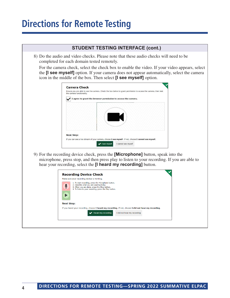| <b>STUDENT TESTING INTERFACE (cont.)</b>                                                                                                                                                                                                                                |
|-------------------------------------------------------------------------------------------------------------------------------------------------------------------------------------------------------------------------------------------------------------------------|
| 8) Do the audio and video checks. Please note that these audio checks will need to be<br>completed for each domain tested remotely.                                                                                                                                     |
| For the camera check, select the check box to enable the video. If your video appears, select<br>the <b>[I see myself]</b> option. If your camera does not appear automatically, select the camera<br>icon in the middle of the box. Then select [I see myself] option. |
| <b>Camera Check</b><br>Ensure you are able to use the camera. Check the box below to grant permission to access the camera, then test<br>the camera functionality.<br>I agree to grant the browser permission to access the camera.                                     |
|                                                                                                                                                                                                                                                                         |
| <b>Next Step:</b><br>If you can see a live stream of your camera, choose I see myself. If not, choose I cannot see myself.<br>I see myself<br>I cannot see myself                                                                                                       |
| 9) For the recording device check, press the <b>[Microphone]</b> button, speak into the<br>microphone, press stop, and then press play to listen to your recording. If you are able to<br>hear your recording, select the [I heard my recording] button.                |
| <b>Recording Device Check</b>                                                                                                                                                                                                                                           |
| Make sure your recording device is working.<br>1. To start recording, press the Microphone button.<br>2. Describe what you are wearing today.<br>3. When you are done, press the Stop button.<br>4. To listen to your recording, press the Play button.                 |
| <b>Next Step:</b>                                                                                                                                                                                                                                                       |
| If you heard your recording, choose I heard my recording. If not, choose I did not hear my recording.                                                                                                                                                                   |
| I heard my recording<br>I did not hear my recording                                                                                                                                                                                                                     |
|                                                                                                                                                                                                                                                                         |
|                                                                                                                                                                                                                                                                         |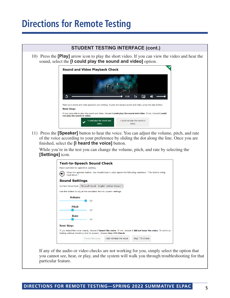

 If any of the audio or video checks are not working for you, simply select the option that you cannot see, hear, or play, and the system will walk you through troubleshooting for that particular feature.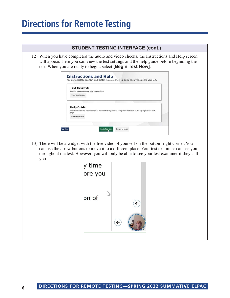|                                                   | <b>STUDENT TESTING INTERFACE (cont.)</b>                                                                                                                                                                                                                                              |
|---------------------------------------------------|---------------------------------------------------------------------------------------------------------------------------------------------------------------------------------------------------------------------------------------------------------------------------------------|
|                                                   | 12) When you have completed the audio and video checks, the Instructions and Help screen<br>will appear. Here you can view the test settings and the help guide before beginning the<br>test. When you are ready to begin, select [Begin Test Now].                                   |
|                                                   | <b>Instructions and Help</b><br>You may select the question mark button to access this Help Guide at any time during your test.                                                                                                                                                       |
| <b>Test Settings</b><br><b>View Test Settings</b> | Use this button to review your test settings.                                                                                                                                                                                                                                         |
| <b>Help Guide</b><br>page.<br>View Help Guide     | The Help Guide and test rules can be accessed at any time by using the help button at the top-right of the test                                                                                                                                                                       |
| <b>Test Site</b>                                  | <b>Begin Test Now</b><br>Return to Login                                                                                                                                                                                                                                              |
| you.                                              | 13) There will be a widget with the live video of yourself on the bottom-right corner. You<br>can use the arrow buttons to move it to a different place. Your test examiner can see you<br>throughout the test. However, you will only be able to see your test examiner if they call |
|                                                   | y time                                                                                                                                                                                                                                                                                |
|                                                   | ore you                                                                                                                                                                                                                                                                               |
|                                                   | on of                                                                                                                                                                                                                                                                                 |
|                                                   |                                                                                                                                                                                                                                                                                       |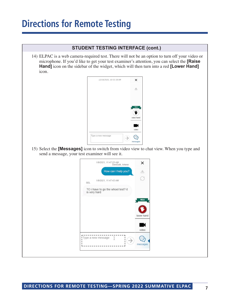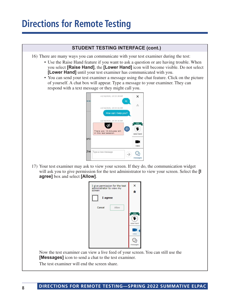#### **STUDENT TESTING INTERFACE (cont.)**

- 16) There are many ways you can communicate with your test examiner during the test:
	- Use the Raise Hand feature if you want to ask a question or are having trouble. When you select **[Raise Hand]**, the **[Lower Hand]** icon will become visible. Do not select **[Lower Hand]** until your test examiner has communicated with you.
	- You can send your test examiner a message using the chat feature. Click on the picture of yourself. A chat box will appear. Type a message to your examiner. They can respond with a text message or they might call you.



17) Your test examiner may ask to view your screen. If they do, the communication widget will ask you to give permission for the test administrator to view your screen. Select the **[I agree]** box and select **[Allow]**.



 Now the test examiner can view a live feed of your screen. You can still use the **[Messages]** icon to send a chat to the test examiner.

The test examiner will end the screen share.